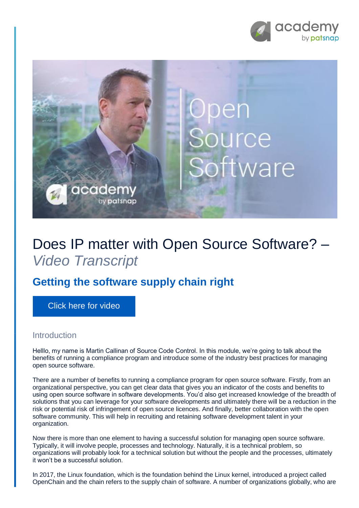



## Does IP matter with Open Source Software? – *Video Transcript*

## **Getting the software supply chain right**

[Click here for video](https://academy.patsnap.com/courses/5aa90c52a8103300142e12e2/units/5b06d287252c450014cc142e#module-4)

## Introduction

Helllo, my name is Martin Callinan of Source Code Control. In this module, we're going to talk about the benefits of running a compliance program and introduce some of the industry best practices for managing open source software.

There are a number of benefits to running a compliance program for open source software. Firstly, from an organizational perspective, you can get clear data that gives you an indicator of the costs and benefits to using open source software in software developments. You'd also get increased knowledge of the breadth of solutions that you can leverage for your software developments and ultimately there will be a reduction in the risk or potential risk of infringement of open source licences. And finally, better collaboration with the open software community. This will help in recruiting and retaining software development talent in your organization.

Now there is more than one element to having a successful solution for managing open source software. Typically, it will involve people, processes and technology. Naturally, it is a technical problem, so organizations will probably look for a technical solution but without the people and the processes, ultimately it won't be a successful solution.

In 2017, the Linux foundation, which is the foundation behind the Linux kernel, introduced a project called OpenChain and the chain refers to the supply chain of software. A number of organizations globally, who are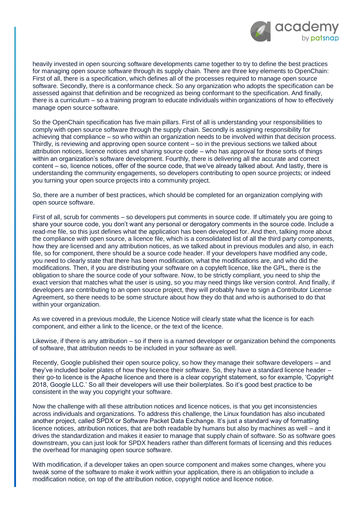

heavily invested in open sourcing software developments came together to try to define the best practices for managing open source software through its supply chain. There are three key elements to OpenChain: First of all, there is a specification, which defines all of the processes required to manage open source software. Secondly, there is a conformance check. So any organization who adopts the specification can be assessed against that definition and be recognized as being conformant to the specification. And finally, there is a curriculum – so a training program to educate individuals within organizations of how to effectively manage open source software.

So the OpenChain specification has five main pillars. First of all is understanding your responsibilities to comply with open source software through the supply chain. Secondly is assigning responsibility for achieving that compliance – so who within an organization needs to be involved within that decision process. Thirdly, is reviewing and approving open source content – so in the previous sections we talked about attribution notices, licence notices and sharing source code – who has approval for those sorts of things within an organization's software development. Fourthly, there is delivering all the accurate and correct content – so, licence notices, offer of the source code, that we've already talked about. And lastly, there is understanding the community engagements, so developers contributing to open source projects; or indeed you turning your open source projects into a community project.

So, there are a number of best practices, which should be completed for an organization complying with open source software.

First of all, scrub for comments – so developers put comments in source code. If ultimately you are going to share your source code, you don't want any personal or derogatory comments in the source code. Include a read-me file, so this just defines what the application has been developed for. And then, talking more about the compliance with open source, a licence file, which is a consolidated list of all the third party components, how they are licensed and any attribution notices, as we talked about in previous modules and also, in each file, so for component, there should be a source code header. If your developers have modified any code, you need to clearly state that there has been modification, what the modifications are, and who did the modifications. Then, if you are distributing your software on a copyleft licence, like the GPL, there is the obligation to share the source code of your software. Now, to be strictly compliant, you need to ship the exact version that matches what the user is using, so you may need things like version control. And finally, if developers are contributing to an open source project, they will probably have to sign a Contributor License Agreement, so there needs to be some structure about how they do that and who is authorised to do that within your organization.

As we covered in a previous module, the Licence Notice will clearly state what the licence is for each component, and either a link to the licence, or the text of the licence.

Likewise, if there is any attribution – so if there is a named developer or organization behind the components of software, that attribution needs to be included in your software as well.

Recently, Google published their open source policy, so how they manage their software developers – and they've included boiler plates of how they licence their software. So, they have a standard licence header – their go-to licence is the Apache licence and there is a clear copyright statement, so for example, 'Copyright 2018, Google LLC.' So all their developers will use their boilerplates. So it's good best practice to be consistent in the way you copyright your software.

Now the challenge with all these attribution notices and licence notices, is that you get inconsistencies across individuals and organizations. To address this challenge, the Linux foundation has also incubated another project, called SPDX or Software Packet Data Exchange. It's just a standard way of formatting licence notices, attribution notices, that are both readable by humans but also by machines as well – and it drives the standardization and makes it easier to manage that supply chain of software. So as software goes downstream, you can just look for SPDX headers rather than different formats of licensing and this reduces the overhead for managing open source software.

With modification, if a developer takes an open source component and makes some changes, where you tweak some of the software to make it work within your application, there is an obligation to include a modification notice, on top of the attribution notice, copyright notice and licence notice.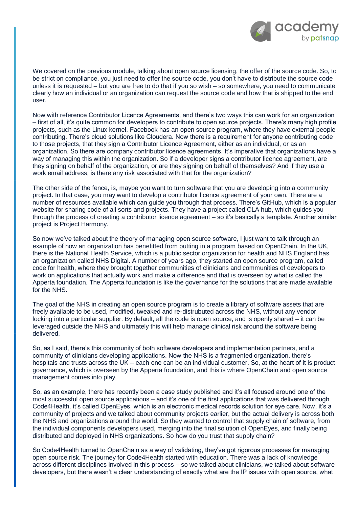

We covered on the previous module, talking about open source licensing, the offer of the source code. So, to be strict on compliance, you just need to offer the source code, you don't have to distribute the source code unless it is requested – but you are free to do that if you so wish – so somewhere, you need to communicate clearly how an individual or an organization can request the source code and how that is shipped to the end user.

Now with reference Contributor Licence Agreements, and there's two ways this can work for an organization – first of all, it's quite common for developers to contribute to open source projects. There's many high profile projects, such as the Linux kernel, Facebook has an open source program, where they have external people contributing. There's cloud solutions like Cloudera. Now there is a requirement for anyone contributing code to those projects, that they sign a Contributor Licence Agreement, either as an individual, or as an organization. So there are company contributor licence agreements. It's imperative that organizations have a way of managing this within the organization. So if a developer signs a contributor licence agreement, are they signing on behalf of the organization, or are they signing on behalf of themselves? And if they use a work email address, is there any risk associated with that for the organization?

The other side of the fence, is, maybe you want to turn software that you are developing into a community project. In that case, you may want to develop a contributor licence agreement of your own. There are a number of resources available which can guide you through that process. There's GitHub, which is a popular website for sharing code of all sorts and projects. They have a project called CLA hub, which guides you through the process of creating a contributor licence agreement – so it's basically a template. Another similar project is Project Harmony.

So now we've talked about the theory of managing open source software, I just want to talk through an example of how an organization has benefitted from putting in a program based on OpenChain. In the UK, there is the National Health Service, which is a public sector organization for health and NHS England has an organization called NHS Digital. A number of years ago, they started an open source program, called code for health, where they brought together communities of clinicians and communities of developers to work on applications that actually work and make a difference and that is overseen by what is called the Apperta foundation. The Apperta foundation is like the governance for the solutions that are made available for the NHS.

The goal of the NHS in creating an open source program is to create a library of software assets that are freely available to be used, modified, tweaked and re-distrubuted across the NHS, without any vendor locking into a particular supplier. By default, all the code is open source, and is openly shared – it can be leveraged outside the NHS and ultimately this will help manage clinical risk around the software being delivered.

So, as I said, there's this community of both software developers and implementation partners, and a community of clinicians developing applications. Now the NHS is a fragmented organization, there's hospitals and trusts across the UK – each one can be an individual customer. So, at the heart of it is product governance, which is overseen by the Apperta foundation, and this is where OpenChain and open source management comes into play.

So, as an example, there has recently been a case study published and it's all focused around one of the most successful open source applications – and it's one of the first applications that was delivered through Code4Health, it's called OpenEyes, which is an electronic medical records solution for eye care. Now, it's a community of projects and we talked about community projects earlier, but the actual delivery is across both the NHS and organizations around the world. So they wanted to control that supply chain of software, from the individual components developers used, merging into the final solution of OpenEyes, and finally being distributed and deployed in NHS organizations. So how do you trust that supply chain?

So Code4Health turned to OpenChain as a way of validating, they've got rigorous processes for managing open source risk. The journey for Code4Health started with education. There was a lack of knowledge across different disciplines involved in this process – so we talked about clinicians, we talked about software developers, but there wasn't a clear understanding of exactly what are the IP issues with open source, what